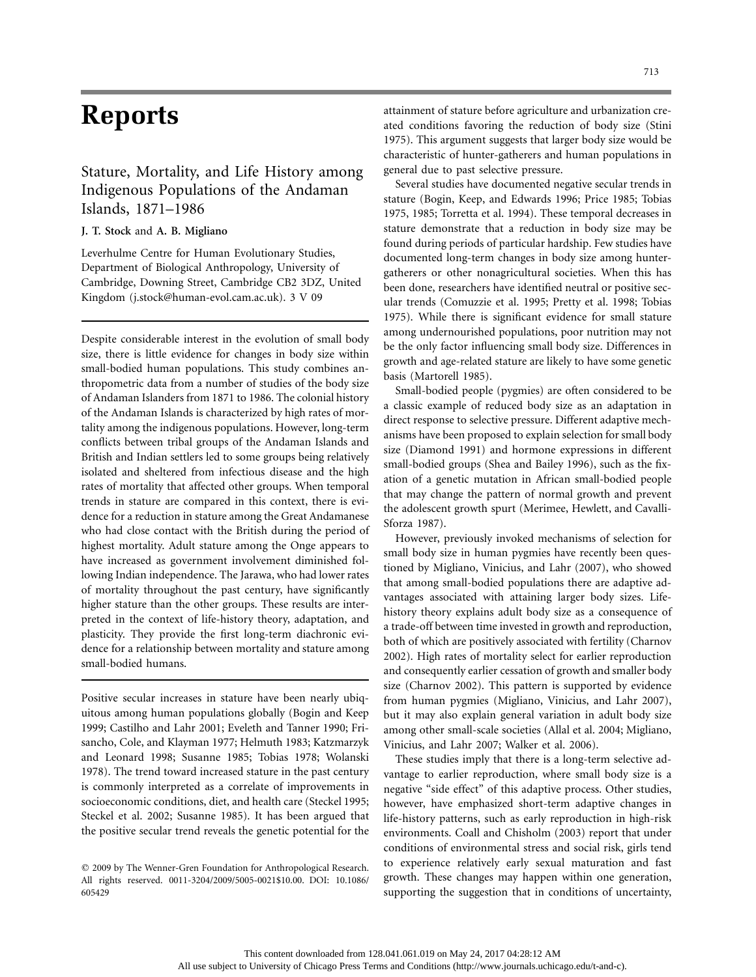# **Reports**

# Stature, Mortality, and Life History among Indigenous Populations of the Andaman Islands, 1871–1986

**J. T. Stock** and **A. B. Migliano**

Leverhulme Centre for Human Evolutionary Studies, Department of Biological Anthropology, University of Cambridge, Downing Street, Cambridge CB2 3DZ, United Kingdom (j.stock@human-evol.cam.ac.uk). 3 V 09

Despite considerable interest in the evolution of small body size, there is little evidence for changes in body size within small-bodied human populations. This study combines anthropometric data from a number of studies of the body size of Andaman Islanders from 1871 to 1986. The colonial history of the Andaman Islands is characterized by high rates of mortality among the indigenous populations. However, long-term conflicts between tribal groups of the Andaman Islands and British and Indian settlers led to some groups being relatively isolated and sheltered from infectious disease and the high rates of mortality that affected other groups. When temporal trends in stature are compared in this context, there is evidence for a reduction in stature among the Great Andamanese who had close contact with the British during the period of highest mortality. Adult stature among the Onge appears to have increased as government involvement diminished following Indian independence. The Jarawa, who had lower rates of mortality throughout the past century, have significantly higher stature than the other groups. These results are interpreted in the context of life-history theory, adaptation, and plasticity. They provide the first long-term diachronic evidence for a relationship between mortality and stature among small-bodied humans.

Positive secular increases in stature have been nearly ubiquitous among human populations globally (Bogin and Keep 1999; Castilho and Lahr 2001; Eveleth and Tanner 1990; Frisancho, Cole, and Klayman 1977; Helmuth 1983; Katzmarzyk and Leonard 1998; Susanne 1985; Tobias 1978; Wolanski 1978). The trend toward increased stature in the past century is commonly interpreted as a correlate of improvements in socioeconomic conditions, diet, and health care (Steckel 1995; Steckel et al. 2002; Susanne 1985). It has been argued that the positive secular trend reveals the genetic potential for the

attainment of stature before agriculture and urbanization created conditions favoring the reduction of body size (Stini 1975). This argument suggests that larger body size would be characteristic of hunter-gatherers and human populations in general due to past selective pressure.

Several studies have documented negative secular trends in stature (Bogin, Keep, and Edwards 1996; Price 1985; Tobias 1975, 1985; Torretta et al. 1994). These temporal decreases in stature demonstrate that a reduction in body size may be found during periods of particular hardship. Few studies have documented long-term changes in body size among huntergatherers or other nonagricultural societies. When this has been done, researchers have identified neutral or positive secular trends (Comuzzie et al. 1995; Pretty et al. 1998; Tobias 1975). While there is significant evidence for small stature among undernourished populations, poor nutrition may not be the only factor influencing small body size. Differences in growth and age-related stature are likely to have some genetic basis (Martorell 1985).

Small-bodied people (pygmies) are often considered to be a classic example of reduced body size as an adaptation in direct response to selective pressure. Different adaptive mechanisms have been proposed to explain selection for small body size (Diamond 1991) and hormone expressions in different small-bodied groups (Shea and Bailey 1996), such as the fixation of a genetic mutation in African small-bodied people that may change the pattern of normal growth and prevent the adolescent growth spurt (Merimee, Hewlett, and Cavalli-Sforza 1987).

However, previously invoked mechanisms of selection for small body size in human pygmies have recently been questioned by Migliano, Vinicius, and Lahr (2007), who showed that among small-bodied populations there are adaptive advantages associated with attaining larger body sizes. Lifehistory theory explains adult body size as a consequence of a trade-off between time invested in growth and reproduction, both of which are positively associated with fertility (Charnov 2002). High rates of mortality select for earlier reproduction and consequently earlier cessation of growth and smaller body size (Charnov 2002). This pattern is supported by evidence from human pygmies (Migliano, Vinicius, and Lahr 2007), but it may also explain general variation in adult body size among other small-scale societies (Allal et al. 2004; Migliano, Vinicius, and Lahr 2007; Walker et al. 2006).

These studies imply that there is a long-term selective advantage to earlier reproduction, where small body size is a negative "side effect" of this adaptive process. Other studies, however, have emphasized short-term adaptive changes in life-history patterns, such as early reproduction in high-risk environments. Coall and Chisholm (2003) report that under conditions of environmental stress and social risk, girls tend to experience relatively early sexual maturation and fast growth. These changes may happen within one generation, supporting the suggestion that in conditions of uncertainty,

2009 by The Wenner-Gren Foundation for Anthropological Research. All rights reserved. 0011-3204/2009/5005-0021\$10.00. DOI: 10.1086/ 605429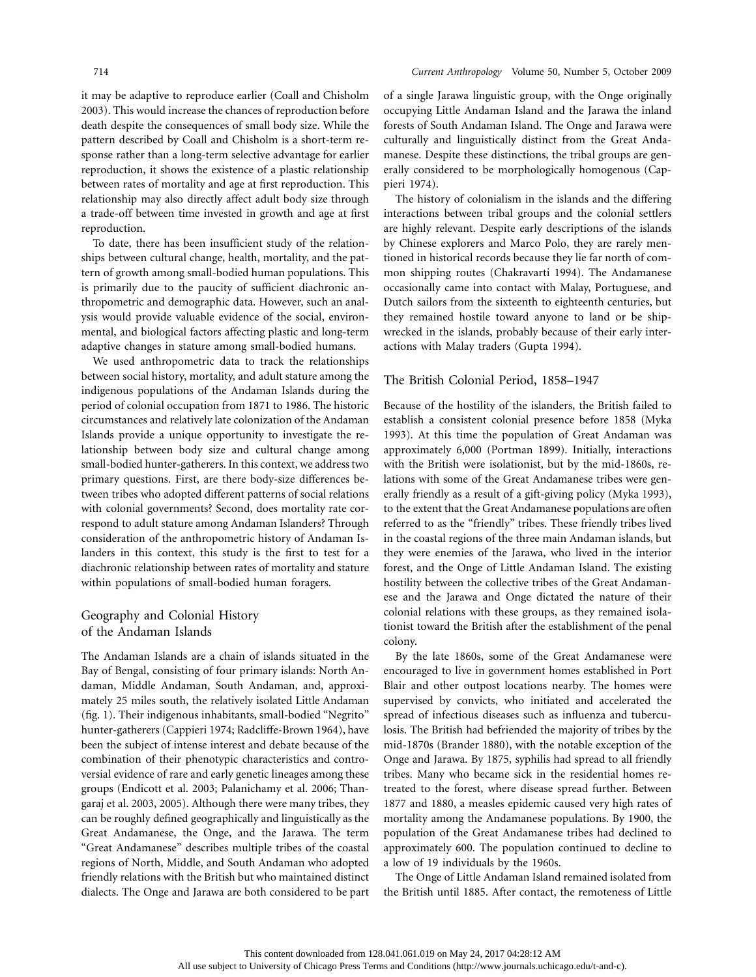it may be adaptive to reproduce earlier (Coall and Chisholm 2003). This would increase the chances of reproduction before death despite the consequences of small body size. While the pattern described by Coall and Chisholm is a short-term response rather than a long-term selective advantage for earlier reproduction, it shows the existence of a plastic relationship between rates of mortality and age at first reproduction. This relationship may also directly affect adult body size through a trade-off between time invested in growth and age at first reproduction.

To date, there has been insufficient study of the relationships between cultural change, health, mortality, and the pattern of growth among small-bodied human populations. This is primarily due to the paucity of sufficient diachronic anthropometric and demographic data. However, such an analysis would provide valuable evidence of the social, environmental, and biological factors affecting plastic and long-term adaptive changes in stature among small-bodied humans.

We used anthropometric data to track the relationships between social history, mortality, and adult stature among the indigenous populations of the Andaman Islands during the period of colonial occupation from 1871 to 1986. The historic circumstances and relatively late colonization of the Andaman Islands provide a unique opportunity to investigate the relationship between body size and cultural change among small-bodied hunter-gatherers. In this context, we address two primary questions. First, are there body-size differences between tribes who adopted different patterns of social relations with colonial governments? Second, does mortality rate correspond to adult stature among Andaman Islanders? Through consideration of the anthropometric history of Andaman Islanders in this context, this study is the first to test for a diachronic relationship between rates of mortality and stature within populations of small-bodied human foragers.

# Geography and Colonial History of the Andaman Islands

The Andaman Islands are a chain of islands situated in the Bay of Bengal, consisting of four primary islands: North Andaman, Middle Andaman, South Andaman, and, approximately 25 miles south, the relatively isolated Little Andaman (fig. 1). Their indigenous inhabitants, small-bodied "Negrito" hunter-gatherers (Cappieri 1974; Radcliffe-Brown 1964), have been the subject of intense interest and debate because of the combination of their phenotypic characteristics and controversial evidence of rare and early genetic lineages among these groups (Endicott et al. 2003; Palanichamy et al. 2006; Thangaraj et al. 2003, 2005). Although there were many tribes, they can be roughly defined geographically and linguistically as the Great Andamanese, the Onge, and the Jarawa. The term "Great Andamanese" describes multiple tribes of the coastal regions of North, Middle, and South Andaman who adopted friendly relations with the British but who maintained distinct dialects. The Onge and Jarawa are both considered to be part of a single Jarawa linguistic group, with the Onge originally occupying Little Andaman Island and the Jarawa the inland forests of South Andaman Island. The Onge and Jarawa were culturally and linguistically distinct from the Great Andamanese. Despite these distinctions, the tribal groups are generally considered to be morphologically homogenous (Cappieri 1974).

The history of colonialism in the islands and the differing interactions between tribal groups and the colonial settlers are highly relevant. Despite early descriptions of the islands by Chinese explorers and Marco Polo, they are rarely mentioned in historical records because they lie far north of common shipping routes (Chakravarti 1994). The Andamanese occasionally came into contact with Malay, Portuguese, and Dutch sailors from the sixteenth to eighteenth centuries, but they remained hostile toward anyone to land or be shipwrecked in the islands, probably because of their early interactions with Malay traders (Gupta 1994).

#### The British Colonial Period, 1858–1947

Because of the hostility of the islanders, the British failed to establish a consistent colonial presence before 1858 (Myka 1993). At this time the population of Great Andaman was approximately 6,000 (Portman 1899). Initially, interactions with the British were isolationist, but by the mid-1860s, relations with some of the Great Andamanese tribes were generally friendly as a result of a gift-giving policy (Myka 1993), to the extent that the Great Andamanese populations are often referred to as the "friendly" tribes. These friendly tribes lived in the coastal regions of the three main Andaman islands, but they were enemies of the Jarawa, who lived in the interior forest, and the Onge of Little Andaman Island. The existing hostility between the collective tribes of the Great Andamanese and the Jarawa and Onge dictated the nature of their colonial relations with these groups, as they remained isolationist toward the British after the establishment of the penal colony.

By the late 1860s, some of the Great Andamanese were encouraged to live in government homes established in Port Blair and other outpost locations nearby. The homes were supervised by convicts, who initiated and accelerated the spread of infectious diseases such as influenza and tuberculosis. The British had befriended the majority of tribes by the mid-1870s (Brander 1880), with the notable exception of the Onge and Jarawa. By 1875, syphilis had spread to all friendly tribes. Many who became sick in the residential homes retreated to the forest, where disease spread further. Between 1877 and 1880, a measles epidemic caused very high rates of mortality among the Andamanese populations. By 1900, the population of the Great Andamanese tribes had declined to approximately 600. The population continued to decline to a low of 19 individuals by the 1960s.

The Onge of Little Andaman Island remained isolated from the British until 1885. After contact, the remoteness of Little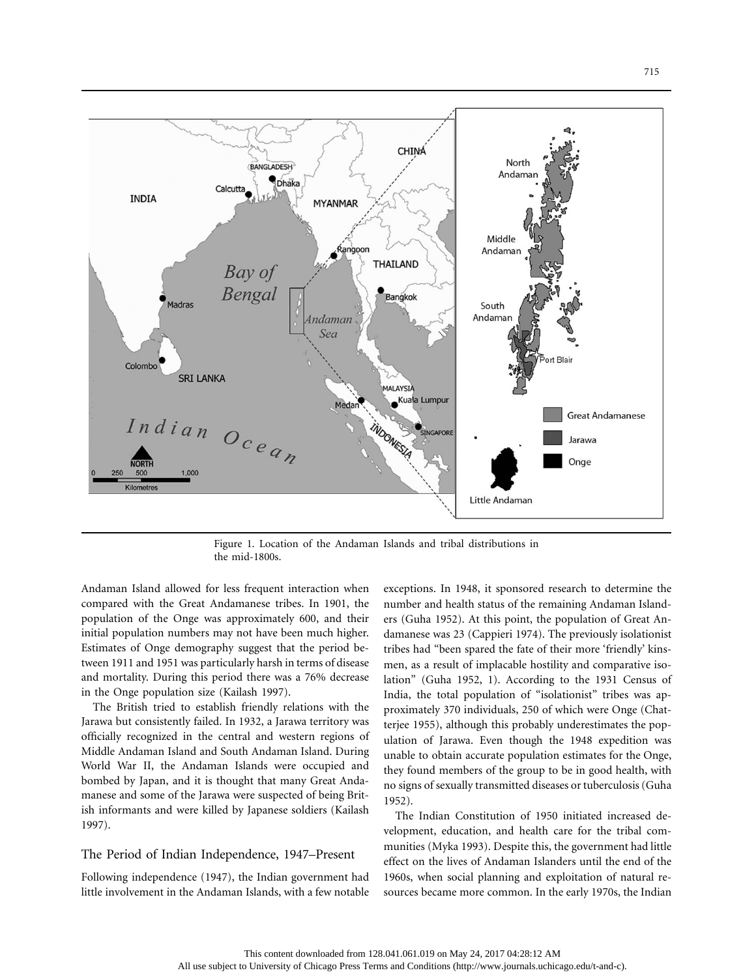

Figure 1. Location of the Andaman Islands and tribal distributions in the mid-1800s.

Andaman Island allowed for less frequent interaction when compared with the Great Andamanese tribes. In 1901, the population of the Onge was approximately 600, and their initial population numbers may not have been much higher. Estimates of Onge demography suggest that the period between 1911 and 1951 was particularly harsh in terms of disease and mortality. During this period there was a 76% decrease in the Onge population size (Kailash 1997).

The British tried to establish friendly relations with the Jarawa but consistently failed. In 1932, a Jarawa territory was officially recognized in the central and western regions of Middle Andaman Island and South Andaman Island. During World War II, the Andaman Islands were occupied and bombed by Japan, and it is thought that many Great Andamanese and some of the Jarawa were suspected of being British informants and were killed by Japanese soldiers (Kailash 1997).

# The Period of Indian Independence, 1947–Present

Following independence (1947), the Indian government had little involvement in the Andaman Islands, with a few notable

exceptions. In 1948, it sponsored research to determine the number and health status of the remaining Andaman Islanders (Guha 1952). At this point, the population of Great Andamanese was 23 (Cappieri 1974). The previously isolationist tribes had "been spared the fate of their more 'friendly' kinsmen, as a result of implacable hostility and comparative isolation" (Guha 1952, 1). According to the 1931 Census of India, the total population of "isolationist" tribes was approximately 370 individuals, 250 of which were Onge (Chatterjee 1955), although this probably underestimates the population of Jarawa. Even though the 1948 expedition was unable to obtain accurate population estimates for the Onge, they found members of the group to be in good health, with no signs of sexually transmitted diseases or tuberculosis (Guha 1952).

The Indian Constitution of 1950 initiated increased development, education, and health care for the tribal communities (Myka 1993). Despite this, the government had little effect on the lives of Andaman Islanders until the end of the 1960s, when social planning and exploitation of natural resources became more common. In the early 1970s, the Indian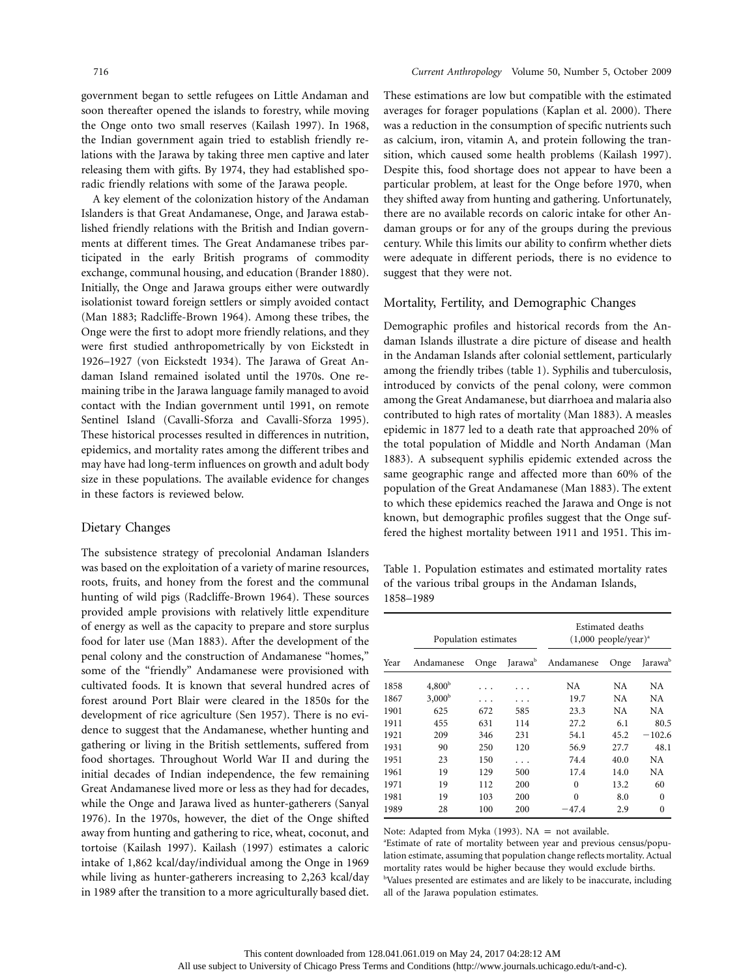government began to settle refugees on Little Andaman and soon thereafter opened the islands to forestry, while moving the Onge onto two small reserves (Kailash 1997). In 1968, the Indian government again tried to establish friendly relations with the Jarawa by taking three men captive and later releasing them with gifts. By 1974, they had established sporadic friendly relations with some of the Jarawa people.

A key element of the colonization history of the Andaman Islanders is that Great Andamanese, Onge, and Jarawa established friendly relations with the British and Indian governments at different times. The Great Andamanese tribes participated in the early British programs of commodity exchange, communal housing, and education (Brander 1880). Initially, the Onge and Jarawa groups either were outwardly isolationist toward foreign settlers or simply avoided contact (Man 1883; Radcliffe-Brown 1964). Among these tribes, the Onge were the first to adopt more friendly relations, and they were first studied anthropometrically by von Eickstedt in 1926–1927 (von Eickstedt 1934). The Jarawa of Great Andaman Island remained isolated until the 1970s. One remaining tribe in the Jarawa language family managed to avoid contact with the Indian government until 1991, on remote Sentinel Island (Cavalli-Sforza and Cavalli-Sforza 1995). These historical processes resulted in differences in nutrition, epidemics, and mortality rates among the different tribes and may have had long-term influences on growth and adult body size in these populations. The available evidence for changes in these factors is reviewed below.

### Dietary Changes

The subsistence strategy of precolonial Andaman Islanders was based on the exploitation of a variety of marine resources, roots, fruits, and honey from the forest and the communal hunting of wild pigs (Radcliffe-Brown 1964). These sources provided ample provisions with relatively little expenditure of energy as well as the capacity to prepare and store surplus food for later use (Man 1883). After the development of the penal colony and the construction of Andamanese "homes," some of the "friendly" Andamanese were provisioned with cultivated foods. It is known that several hundred acres of forest around Port Blair were cleared in the 1850s for the development of rice agriculture (Sen 1957). There is no evidence to suggest that the Andamanese, whether hunting and gathering or living in the British settlements, suffered from food shortages. Throughout World War II and during the initial decades of Indian independence, the few remaining Great Andamanese lived more or less as they had for decades, while the Onge and Jarawa lived as hunter-gatherers (Sanyal 1976). In the 1970s, however, the diet of the Onge shifted away from hunting and gathering to rice, wheat, coconut, and tortoise (Kailash 1997). Kailash (1997) estimates a caloric intake of 1,862 kcal/day/individual among the Onge in 1969 while living as hunter-gatherers increasing to 2,263 kcal/day in 1989 after the transition to a more agriculturally based diet.

These estimations are low but compatible with the estimated averages for forager populations (Kaplan et al. 2000). There was a reduction in the consumption of specific nutrients such as calcium, iron, vitamin A, and protein following the transition, which caused some health problems (Kailash 1997). Despite this, food shortage does not appear to have been a particular problem, at least for the Onge before 1970, when they shifted away from hunting and gathering. Unfortunately, there are no available records on caloric intake for other Andaman groups or for any of the groups during the previous century. While this limits our ability to confirm whether diets were adequate in different periods, there is no evidence to suggest that they were not.

#### Mortality, Fertility, and Demographic Changes

Demographic profiles and historical records from the Andaman Islands illustrate a dire picture of disease and health in the Andaman Islands after colonial settlement, particularly among the friendly tribes (table 1). Syphilis and tuberculosis, introduced by convicts of the penal colony, were common among the Great Andamanese, but diarrhoea and malaria also contributed to high rates of mortality (Man 1883). A measles epidemic in 1877 led to a death rate that approached 20% of the total population of Middle and North Andaman (Man 1883). A subsequent syphilis epidemic extended across the same geographic range and affected more than 60% of the population of the Great Andamanese (Man 1883). The extent to which these epidemics reached the Jarawa and Onge is not known, but demographic profiles suggest that the Onge suffered the highest mortality between 1911 and 1951. This im-

Table 1. Population estimates and estimated mortality rates of the various tribal groups in the Andaman Islands, 1858–1989

| Year | Population estimates |      |                     | Estimated deaths<br>$(1,000$ people/year) <sup>a</sup> |      |                     |  |
|------|----------------------|------|---------------------|--------------------------------------------------------|------|---------------------|--|
|      | Andamanese           | Onge | Jarawa <sup>b</sup> | Andamanese                                             | Onge | Jarawa <sup>b</sup> |  |
| 1858 | 4,800 <sup>b</sup>   |      |                     | NA                                                     | NA   | NA                  |  |
| 1867 | $3,000^{\rm b}$      |      |                     | 19.7                                                   | NΑ   | N A                 |  |
| 1901 | 625                  | 672  | 585                 | 23.3                                                   | NA   | NA                  |  |
| 1911 | 455                  | 631  | 114                 | 27.2                                                   | 6.1  | 80.5                |  |
| 1921 | 209                  | 346  | 231                 | 54.1                                                   | 45.2 | $-102.6$            |  |
| 1931 | 90                   | 250  | 120                 | 56.9                                                   | 27.7 | 48.1                |  |
| 1951 | 23                   | 150  | .                   | 74.4                                                   | 40.0 | NA                  |  |
| 1961 | 19                   | 129  | 500                 | 17.4                                                   | 14.0 | NA                  |  |
| 1971 | 19                   | 112  | 200                 | $\Omega$                                               | 13.2 | 60                  |  |
| 1981 | 19                   | 103  | 200                 | $\theta$                                               | 8.0  | 0                   |  |
| 1989 | 28                   | 100  | 200                 | -47.4                                                  | 2.9  | $\theta$            |  |

Note: Adapted from Myka (1993). NA = not available.

a Estimate of rate of mortality between year and previous census/population estimate, assuming that population change reflects mortality. Actual mortality rates would be higher because they would exclude births. <sup>b</sup>Values presented are estimates and are likely to be inaccurate, including all of the Jarawa population estimates.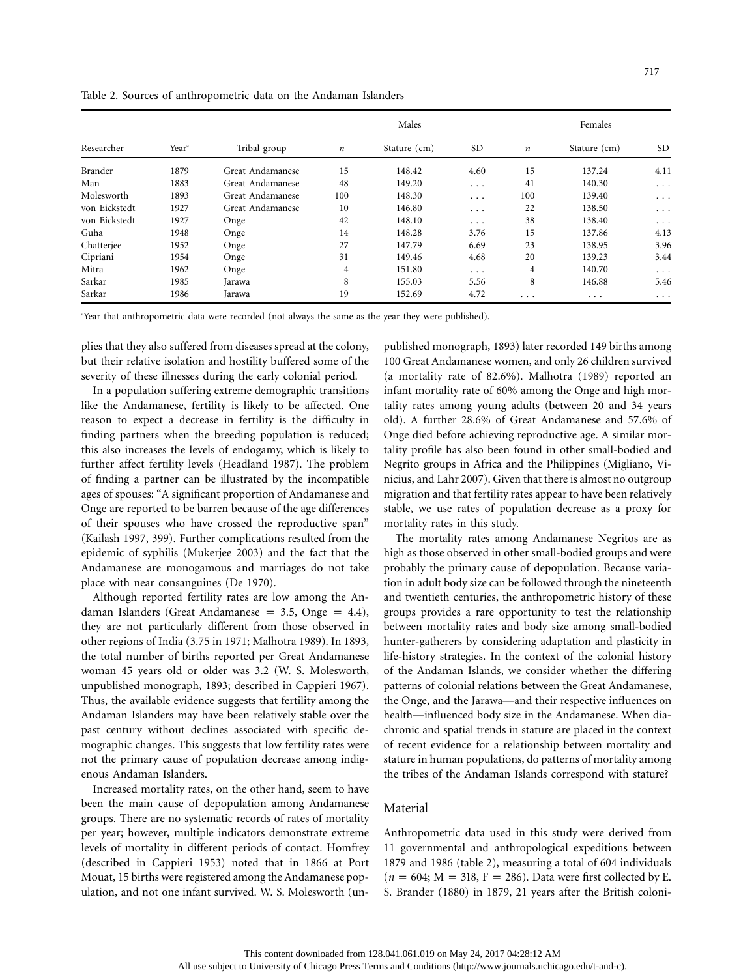Table 2. Sources of anthropometric data on the Andaman Islanders

|               |                   | Tribal group     |     | Males        | Females                 |          |              |                         |
|---------------|-------------------|------------------|-----|--------------|-------------------------|----------|--------------|-------------------------|
| Researcher    | Year <sup>a</sup> |                  | п   | Stature (cm) | SD.                     | n        | Stature (cm) | <b>SD</b>               |
| Brander       | 1879              | Great Andamanese | 15  | 148.42       | 4.60                    | 15       | 137.24       | 4.11                    |
| Man           | 1883              | Great Andamanese | 48  | 149.20       | $\cdots$                | 41       | 140.30       | $\cdots$                |
| Molesworth    | 1893              | Great Andamanese | 100 | 148.30       | $\cdot$ $\cdot$ $\cdot$ | 100      | 139.40       | $\cdots$                |
| von Eickstedt | 1927              | Great Andamanese | 10  | 146.80       | $\cdots$                | 22       | 138.50       | $\cdots$                |
| von Eickstedt | 1927              | Onge             | 42  | 148.10       | $\cdots$                | 38       | 138.40       | $\cdots$                |
| Guha          | 1948              | Onge             | 14  | 148.28       | 3.76                    | 15       | 137.86       | 4.13                    |
| Chatteriee    | 1952              | Onge             | 27  | 147.79       | 6.69                    | 23       | 138.95       | 3.96                    |
| Cipriani      | 1954              | Onge             | 31  | 149.46       | 4.68                    | 20       | 139.23       | 3.44                    |
| Mitra         | 1962              | Onge             | 4   | 151.80       | $\cdot$ $\cdot$ $\cdot$ | 4        | 140.70       | $\cdots$                |
| Sarkar        | 1985              | Jarawa           | 8   | 155.03       | 5.56                    | 8        | 146.88       | 5.46                    |
| Sarkar        | 1986              | Jarawa           | 19  | 152.69       | 4.72                    | $\cdots$ | $\cdots$     | $\cdot$ $\cdot$ $\cdot$ |

a Year that anthropometric data were recorded (not always the same as the year they were published).

plies that they also suffered from diseases spread at the colony, but their relative isolation and hostility buffered some of the severity of these illnesses during the early colonial period.

In a population suffering extreme demographic transitions like the Andamanese, fertility is likely to be affected. One reason to expect a decrease in fertility is the difficulty in finding partners when the breeding population is reduced; this also increases the levels of endogamy, which is likely to further affect fertility levels (Headland 1987). The problem of finding a partner can be illustrated by the incompatible ages of spouses: "A significant proportion of Andamanese and Onge are reported to be barren because of the age differences of their spouses who have crossed the reproductive span" (Kailash 1997, 399). Further complications resulted from the epidemic of syphilis (Mukerjee 2003) and the fact that the Andamanese are monogamous and marriages do not take place with near consanguines (De 1970).

Although reported fertility rates are low among the Andaman Islanders (Great Andamanese = 3.5, Onge = 4.4), they are not particularly different from those observed in other regions of India (3.75 in 1971; Malhotra 1989). In 1893, the total number of births reported per Great Andamanese woman 45 years old or older was 3.2 (W. S. Molesworth, unpublished monograph, 1893; described in Cappieri 1967). Thus, the available evidence suggests that fertility among the Andaman Islanders may have been relatively stable over the past century without declines associated with specific demographic changes. This suggests that low fertility rates were not the primary cause of population decrease among indigenous Andaman Islanders.

Increased mortality rates, on the other hand, seem to have been the main cause of depopulation among Andamanese groups. There are no systematic records of rates of mortality per year; however, multiple indicators demonstrate extreme levels of mortality in different periods of contact. Homfrey (described in Cappieri 1953) noted that in 1866 at Port Mouat, 15 births were registered among the Andamanese population, and not one infant survived. W. S. Molesworth (un-

published monograph, 1893) later recorded 149 births among 100 Great Andamanese women, and only 26 children survived (a mortality rate of 82.6%). Malhotra (1989) reported an infant mortality rate of 60% among the Onge and high mortality rates among young adults (between 20 and 34 years old). A further 28.6% of Great Andamanese and 57.6% of Onge died before achieving reproductive age. A similar mortality profile has also been found in other small-bodied and Negrito groups in Africa and the Philippines (Migliano, Vinicius, and Lahr 2007). Given that there is almost no outgroup migration and that fertility rates appear to have been relatively stable, we use rates of population decrease as a proxy for mortality rates in this study.

The mortality rates among Andamanese Negritos are as high as those observed in other small-bodied groups and were probably the primary cause of depopulation. Because variation in adult body size can be followed through the nineteenth and twentieth centuries, the anthropometric history of these groups provides a rare opportunity to test the relationship between mortality rates and body size among small-bodied hunter-gatherers by considering adaptation and plasticity in life-history strategies. In the context of the colonial history of the Andaman Islands, we consider whether the differing patterns of colonial relations between the Great Andamanese, the Onge, and the Jarawa—and their respective influences on health—influenced body size in the Andamanese. When diachronic and spatial trends in stature are placed in the context of recent evidence for a relationship between mortality and stature in human populations, do patterns of mortality among the tribes of the Andaman Islands correspond with stature?

# Material

Anthropometric data used in this study were derived from 11 governmental and anthropological expeditions between 1879 and 1986 (table 2), measuring a total of 604 individuals  $(n = 604; M = 318, F = 286)$ . Data were first collected by E. S. Brander (1880) in 1879, 21 years after the British coloni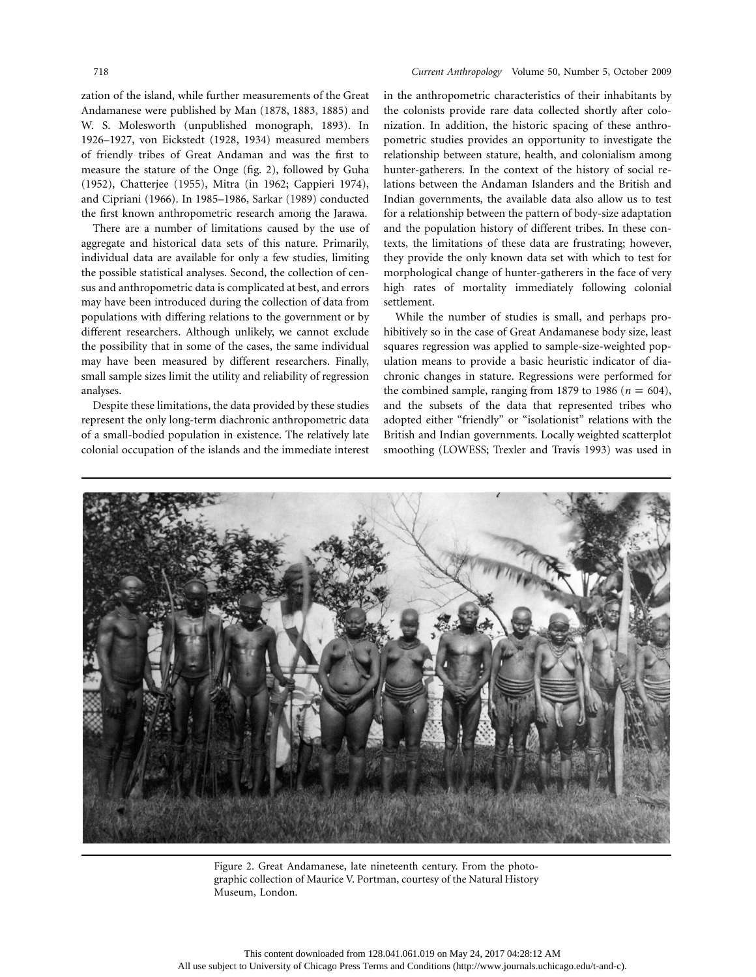zation of the island, while further measurements of the Great Andamanese were published by Man (1878, 1883, 1885) and W. S. Molesworth (unpublished monograph, 1893). In 1926–1927, von Eickstedt (1928, 1934) measured members of friendly tribes of Great Andaman and was the first to measure the stature of the Onge (fig. 2), followed by Guha (1952), Chatterjee (1955), Mitra (in 1962; Cappieri 1974), and Cipriani (1966). In 1985–1986, Sarkar (1989) conducted the first known anthropometric research among the Jarawa.

There are a number of limitations caused by the use of aggregate and historical data sets of this nature. Primarily, individual data are available for only a few studies, limiting the possible statistical analyses. Second, the collection of census and anthropometric data is complicated at best, and errors may have been introduced during the collection of data from populations with differing relations to the government or by different researchers. Although unlikely, we cannot exclude the possibility that in some of the cases, the same individual may have been measured by different researchers. Finally, small sample sizes limit the utility and reliability of regression analyses.

Despite these limitations, the data provided by these studies represent the only long-term diachronic anthropometric data of a small-bodied population in existence. The relatively late colonial occupation of the islands and the immediate interest in the anthropometric characteristics of their inhabitants by the colonists provide rare data collected shortly after colonization. In addition, the historic spacing of these anthropometric studies provides an opportunity to investigate the relationship between stature, health, and colonialism among hunter-gatherers. In the context of the history of social relations between the Andaman Islanders and the British and Indian governments, the available data also allow us to test for a relationship between the pattern of body-size adaptation and the population history of different tribes. In these contexts, the limitations of these data are frustrating; however, they provide the only known data set with which to test for morphological change of hunter-gatherers in the face of very high rates of mortality immediately following colonial settlement.

While the number of studies is small, and perhaps prohibitively so in the case of Great Andamanese body size, least squares regression was applied to sample-size-weighted population means to provide a basic heuristic indicator of diachronic changes in stature. Regressions were performed for the combined sample, ranging from 1879 to 1986 ( $n = 604$ ), and the subsets of the data that represented tribes who adopted either "friendly" or "isolationist" relations with the British and Indian governments. Locally weighted scatterplot smoothing (LOWESS; Trexler and Travis 1993) was used in



Figure 2. Great Andamanese, late nineteenth century. From the photographic collection of Maurice V. Portman, courtesy of the Natural History Museum, London.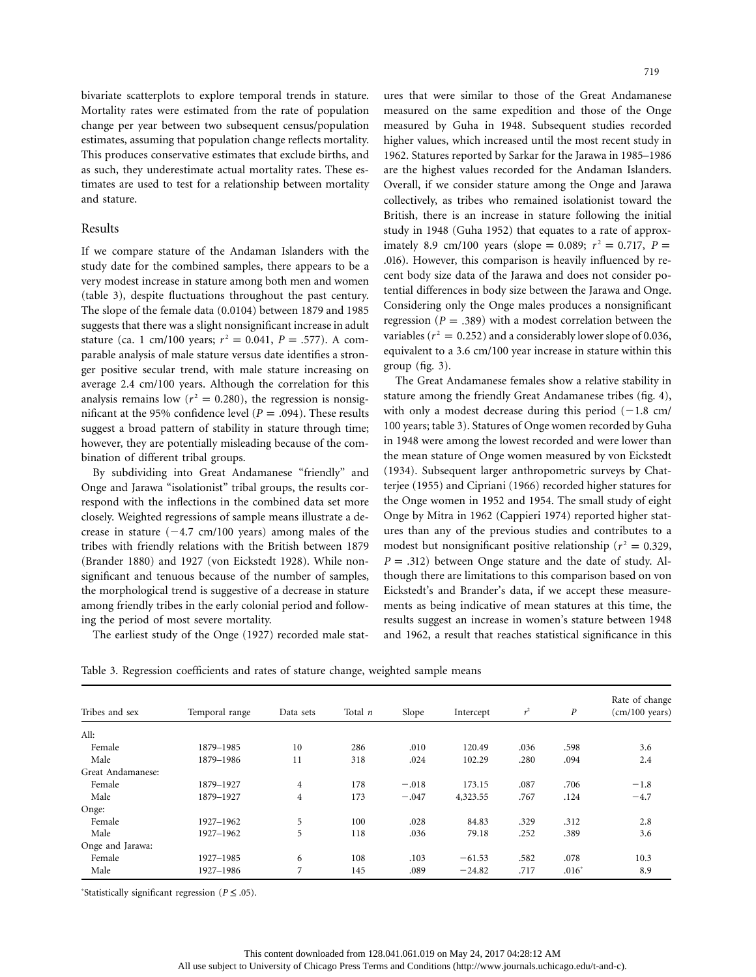bivariate scatterplots to explore temporal trends in stature. Mortality rates were estimated from the rate of population change per year between two subsequent census/population estimates, assuming that population change reflects mortality. This produces conservative estimates that exclude births, and as such, they underestimate actual mortality rates. These estimates are used to test for a relationship between mortality and stature.

#### Results

If we compare stature of the Andaman Islanders with the study date for the combined samples, there appears to be a very modest increase in stature among both men and women (table 3), despite fluctuations throughout the past century. The slope of the female data (0.0104) between 1879 and 1985 suggests that there was a slight nonsignificant increase in adult stature (ca. 1 cm/100 years;  $r^2 = 0.041$ ,  $P = .577$ ). A comparable analysis of male stature versus date identifies a stronger positive secular trend, with male stature increasing on average 2.4 cm/100 years. Although the correlation for this analysis remains low ( $r^2 = 0.280$ ), the regression is nonsignificant at the 95% confidence level ( $P = .094$ ). These results suggest a broad pattern of stability in stature through time; however, they are potentially misleading because of the combination of different tribal groups.

By subdividing into Great Andamanese "friendly" and Onge and Jarawa "isolationist" tribal groups, the results correspond with the inflections in the combined data set more closely. Weighted regressions of sample means illustrate a decrease in stature  $(-4.7 \text{ cm}/100 \text{ years})$  among males of the tribes with friendly relations with the British between 1879 (Brander 1880) and 1927 (von Eickstedt 1928). While nonsignificant and tenuous because of the number of samples, the morphological trend is suggestive of a decrease in stature among friendly tribes in the early colonial period and following the period of most severe mortality.

The earliest study of the Onge (1927) recorded male stat-

ures that were similar to those of the Great Andamanese measured on the same expedition and those of the Onge measured by Guha in 1948. Subsequent studies recorded higher values, which increased until the most recent study in 1962. Statures reported by Sarkar for the Jarawa in 1985–1986 are the highest values recorded for the Andaman Islanders. Overall, if we consider stature among the Onge and Jarawa collectively, as tribes who remained isolationist toward the British, there is an increase in stature following the initial study in 1948 (Guha 1952) that equates to a rate of approximately 8.9 cm/100 years (slope = 0.089;  $r^2 = 0.717$ ,  $P =$ .016). However, this comparison is heavily influenced by recent body size data of the Jarawa and does not consider potential differences in body size between the Jarawa and Onge. Considering only the Onge males produces a nonsignificant regression ( $P = .389$ ) with a modest correlation between the variables ( $r^2 = 0.252$ ) and a considerably lower slope of 0.036, equivalent to a 3.6 cm/100 year increase in stature within this group (fig. 3).

The Great Andamanese females show a relative stability in stature among the friendly Great Andamanese tribes (fig. 4), with only a modest decrease during this period  $(-1.8 \text{ cm})$ 100 years; table 3). Statures of Onge women recorded by Guha in 1948 were among the lowest recorded and were lower than the mean stature of Onge women measured by von Eickstedt (1934). Subsequent larger anthropometric surveys by Chatterjee (1955) and Cipriani (1966) recorded higher statures for the Onge women in 1952 and 1954. The small study of eight Onge by Mitra in 1962 (Cappieri 1974) reported higher statures than any of the previous studies and contributes to a modest but nonsignificant positive relationship ( $r^2 = 0.329$ ,  $P = .312$ ) between Onge stature and the date of study. Although there are limitations to this comparison based on von Eickstedt's and Brander's data, if we accept these measurements as being indicative of mean statures at this time, the results suggest an increase in women's stature between 1948 and 1962, a result that reaches statistical significance in this

Table 3. Regression coefficients and rates of stature change, weighted sample means

| Tribes and sex    | Temporal range | Data sets      | Total $n$ | Slope   | Intercept | r <sup>2</sup> | $\boldsymbol{P}$ | Rate of change<br>(cm/100 years) |
|-------------------|----------------|----------------|-----------|---------|-----------|----------------|------------------|----------------------------------|
| All:              |                |                |           |         |           |                |                  |                                  |
| Female            | 1879-1985      | 10             |           |         | 120.49    |                | .598             |                                  |
|                   |                |                | 286       | .010    |           | .036           |                  | 3.6                              |
| Male              | 1879-1986      | 11             | 318       | .024    | 102.29    | .280           | .094             | 2.4                              |
| Great Andamanese: |                |                |           |         |           |                |                  |                                  |
| Female            | 1879-1927      | $\overline{4}$ | 178       | $-.018$ | 173.15    | .087           | .706             | $-1.8$                           |
| Male              | 1879-1927      | $\overline{4}$ | 173       | $-.047$ | 4,323.55  | .767           | .124             | $-4.7$                           |
| Onge:             |                |                |           |         |           |                |                  |                                  |
| Female            | 1927-1962      | 5              | 100       | .028    | 84.83     | .329           | .312             | 2.8                              |
| Male              | 1927-1962      | 5              | 118       | .036    | 79.18     | .252           | .389             | 3.6                              |
| Onge and Jarawa:  |                |                |           |         |           |                |                  |                                  |
| Female            | 1927-1985      | 6              | 108       | .103    | $-61.53$  | .582           | .078             | 10.3                             |
| Male              | 1927-1986      | $\overline{7}$ | 145       | .089    | $-24.82$  | .717           | $.016*$          | 8.9                              |

\*Statistically significant regression (P ≤ .05).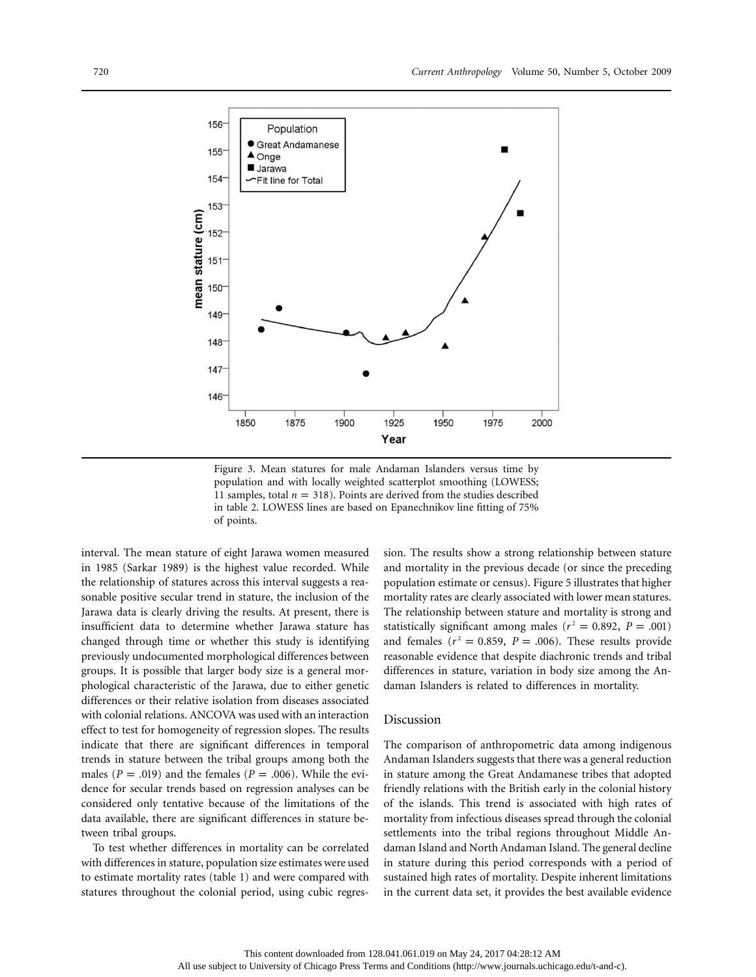

Figure 3. Mean statures for male Andaman Islanders versus time by population and with locally weighted scatterplot smoothing (LOWESS; 11 samples, total  $n = 318$ ). Points are derived from the studies described in table 2. LOWESS lines are based on Epanechnikov line fitting of 75% of points.

interval. The mean stature of eight Jarawa women measured in 1985 (Sarkar 1989) is the highest value recorded. While the relationship of statures across this interval suggests a reasonable positive secular trend in stature, the inclusion of the Jarawa data is clearly driving the results. At present, there is insufficient data to determine whether Jarawa stature has changed through time or whether this study is identifying previously undocumented morphological differences between groups. It is possible that larger body size is a general morphological characteristic of the Jarawa, due to either genetic differences or their relative isolation from diseases associated with colonial relations. ANCOVA was used with an interaction effect to test for homogeneity of regression slopes. The results indicate that there are significant differences in temporal trends in stature between the tribal groups among both the males ( $P = .019$ ) and the females ( $P = .006$ ). While the evidence for secular trends based on regression analyses can be considered only tentative because of the limitations of the data available, there are significant differences in stature between tribal groups.

To test whether differences in mortality can be correlated with differences in stature, population size estimates were used to estimate mortality rates (table 1) and were compared with statures throughout the colonial period, using cubic regression. The results show a strong relationship between stature and mortality in the previous decade (or since the preceding population estimate or census). Figure 5 illustrates that higher mortality rates are clearly associated with lower mean statures. The relationship between stature and mortality is strong and statistically significant among males ( $r^2 = 0.892$ ,  $P = .001$ ) and females  $(r^2 = 0.859, P = .006)$ . These results provide reasonable evidence that despite diachronic trends and tribal differences in stature, variation in body size among the Andaman Islanders is related to differences in mortality.

# Discussion

The comparison of anthropometric data among indigenous Andaman Islanders suggests that there was a general reduction in stature among the Great Andamanese tribes that adopted friendly relations with the British early in the colonial history of the islands. This trend is associated with high rates of mortality from infectious diseases spread through the colonial settlements into the tribal regions throughout Middle Andaman Island and North Andaman Island. The general decline in stature during this period corresponds with a period of sustained high rates of mortality. Despite inherent limitations in the current data set, it provides the best available evidence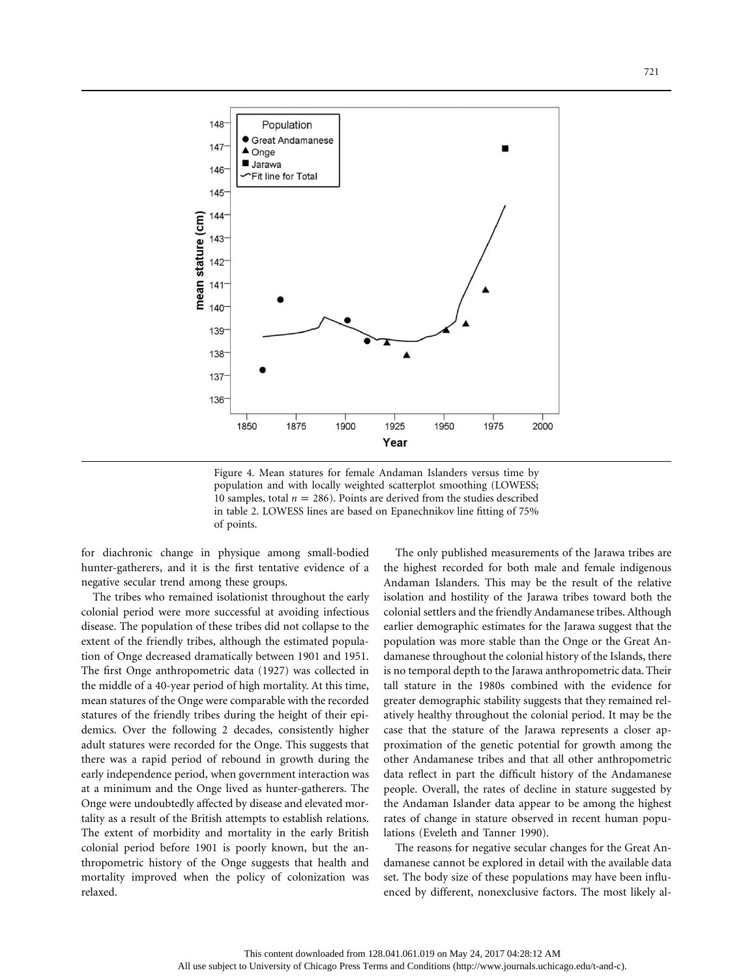

Figure 4. Mean statures for female Andaman Islanders versus time by population and with locally weighted scatterplot smoothing (LOWESS; 10 samples, total  $n = 286$ ). Points are derived from the studies described in table 2. LOWESS lines are based on Epanechnikov line fitting of 75% of points.

for diachronic change in physique among small-bodied hunter-gatherers, and it is the first tentative evidence of a negative secular trend among these groups.

The tribes who remained isolationist throughout the early colonial period were more successful at avoiding infectious disease. The population of these tribes did not collapse to the extent of the friendly tribes, although the estimated population of Onge decreased dramatically between 1901 and 1951. The first Onge anthropometric data (1927) was collected in the middle of a 40-year period of high mortality. At this time, mean statures of the Onge were comparable with the recorded statures of the friendly tribes during the height of their epidemics. Over the following 2 decades, consistently higher adult statures were recorded for the Onge. This suggests that there was a rapid period of rebound in growth during the early independence period, when government interaction was at a minimum and the Onge lived as hunter-gatherers. The Onge were undoubtedly affected by disease and elevated mortality as a result of the British attempts to establish relations. The extent of morbidity and mortality in the early British colonial period before 1901 is poorly known, but the anthropometric history of the Onge suggests that health and mortality improved when the policy of colonization was relaxed.

The only published measurements of the Jarawa tribes are the highest recorded for both male and female indigenous Andaman Islanders. This may be the result of the relative isolation and hostility of the Jarawa tribes toward both the colonial settlers and the friendly Andamanese tribes. Although earlier demographic estimates for the Jarawa suggest that the population was more stable than the Onge or the Great Andamanese throughout the colonial history of the Islands, there is no temporal depth to the Jarawa anthropometric data. Their tall stature in the 1980s combined with the evidence for greater demographic stability suggests that they remained relatively healthy throughout the colonial period. It may be the case that the stature of the Jarawa represents a closer approximation of the genetic potential for growth among the other Andamanese tribes and that all other anthropometric data reflect in part the difficult history of the Andamanese people. Overall, the rates of decline in stature suggested by the Andaman Islander data appear to be among the highest rates of change in stature observed in recent human populations (Eveleth and Tanner 1990).

The reasons for negative secular changes for the Great Andamanese cannot be explored in detail with the available data set. The body size of these populations may have been influenced by different, nonexclusive factors. The most likely al-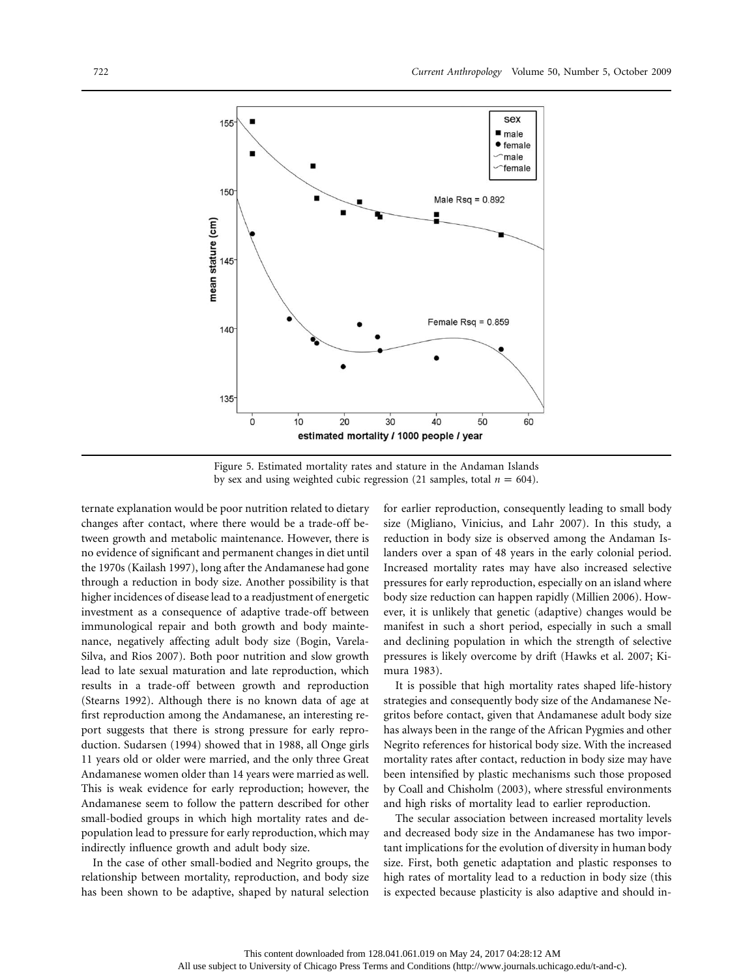

Figure 5. Estimated mortality rates and stature in the Andaman Islands by sex and using weighted cubic regression (21 samples, total  $n = 604$ ).

ternate explanation would be poor nutrition related to dietary changes after contact, where there would be a trade-off between growth and metabolic maintenance. However, there is no evidence of significant and permanent changes in diet until the 1970s (Kailash 1997), long after the Andamanese had gone through a reduction in body size. Another possibility is that higher incidences of disease lead to a readjustment of energetic investment as a consequence of adaptive trade-off between immunological repair and both growth and body maintenance, negatively affecting adult body size (Bogin, Varela-Silva, and Rios 2007). Both poor nutrition and slow growth lead to late sexual maturation and late reproduction, which results in a trade-off between growth and reproduction (Stearns 1992). Although there is no known data of age at first reproduction among the Andamanese, an interesting report suggests that there is strong pressure for early reproduction. Sudarsen (1994) showed that in 1988, all Onge girls 11 years old or older were married, and the only three Great Andamanese women older than 14 years were married as well. This is weak evidence for early reproduction; however, the Andamanese seem to follow the pattern described for other small-bodied groups in which high mortality rates and depopulation lead to pressure for early reproduction, which may indirectly influence growth and adult body size.

In the case of other small-bodied and Negrito groups, the relationship between mortality, reproduction, and body size has been shown to be adaptive, shaped by natural selection for earlier reproduction, consequently leading to small body size (Migliano, Vinicius, and Lahr 2007). In this study, a reduction in body size is observed among the Andaman Islanders over a span of 48 years in the early colonial period. Increased mortality rates may have also increased selective pressures for early reproduction, especially on an island where body size reduction can happen rapidly (Millien 2006). However, it is unlikely that genetic (adaptive) changes would be manifest in such a short period, especially in such a small and declining population in which the strength of selective pressures is likely overcome by drift (Hawks et al. 2007; Kimura 1983).

It is possible that high mortality rates shaped life-history strategies and consequently body size of the Andamanese Negritos before contact, given that Andamanese adult body size has always been in the range of the African Pygmies and other Negrito references for historical body size. With the increased mortality rates after contact, reduction in body size may have been intensified by plastic mechanisms such those proposed by Coall and Chisholm (2003), where stressful environments and high risks of mortality lead to earlier reproduction.

The secular association between increased mortality levels and decreased body size in the Andamanese has two important implications for the evolution of diversity in human body size. First, both genetic adaptation and plastic responses to high rates of mortality lead to a reduction in body size (this is expected because plasticity is also adaptive and should in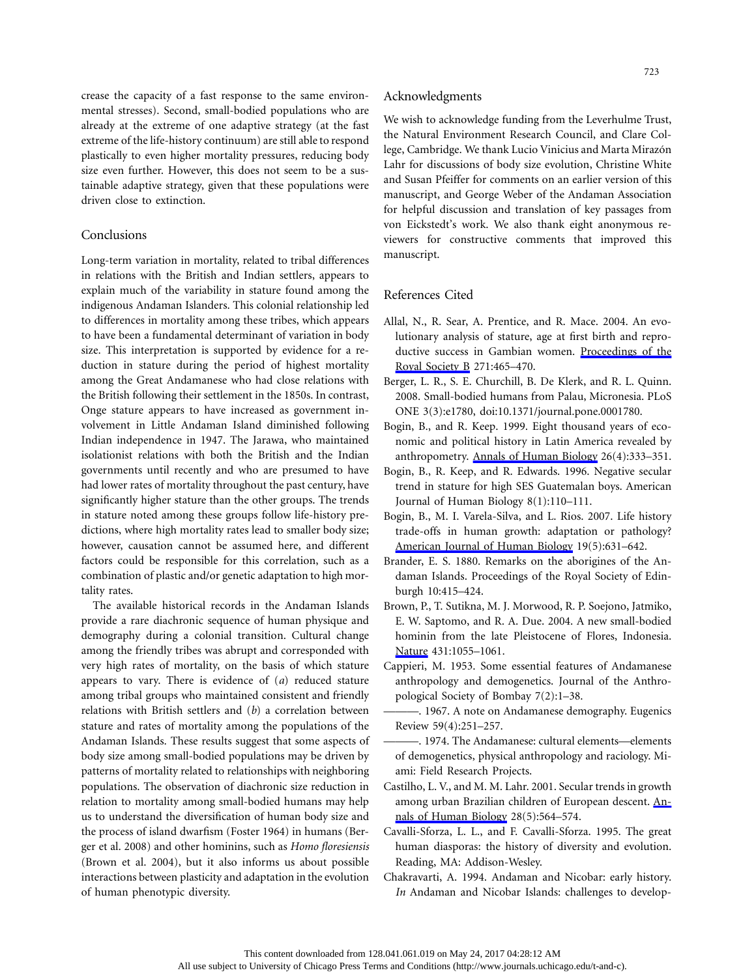crease the capacity of a fast response to the same environmental stresses). Second, small-bodied populations who are already at the extreme of one adaptive strategy (at the fast extreme of the life-history continuum) are still able to respond plastically to even higher mortality pressures, reducing body size even further. However, this does not seem to be a sustainable adaptive strategy, given that these populations were driven close to extinction.

#### Conclusions

Long-term variation in mortality, related to tribal differences in relations with the British and Indian settlers, appears to explain much of the variability in stature found among the indigenous Andaman Islanders. This colonial relationship led to differences in mortality among these tribes, which appears to have been a fundamental determinant of variation in body size. This interpretation is supported by evidence for a reduction in stature during the period of highest mortality among the Great Andamanese who had close relations with the British following their settlement in the 1850s. In contrast, Onge stature appears to have increased as government involvement in Little Andaman Island diminished following Indian independence in 1947. The Jarawa, who maintained isolationist relations with both the British and the Indian governments until recently and who are presumed to have had lower rates of mortality throughout the past century, have significantly higher stature than the other groups. The trends in stature noted among these groups follow life-history predictions, where high mortality rates lead to smaller body size; however, causation cannot be assumed here, and different factors could be responsible for this correlation, such as a combination of plastic and/or genetic adaptation to high mortality rates.

The available historical records in the Andaman Islands provide a rare diachronic sequence of human physique and demography during a colonial transition. Cultural change among the friendly tribes was abrupt and corresponded with very high rates of mortality, on the basis of which stature appears to vary. There is evidence of (*a*) reduced stature among tribal groups who maintained consistent and friendly relations with British settlers and (*b*) a correlation between stature and rates of mortality among the populations of the Andaman Islands. These results suggest that some aspects of body size among small-bodied populations may be driven by patterns of mortality related to relationships with neighboring populations. The observation of diachronic size reduction in relation to mortality among small-bodied humans may help us to understand the diversification of human body size and the process of island dwarfism (Foster 1964) in humans (Berger et al. 2008) and other hominins, such as *Homo floresiensis* (Brown et al. 2004), but it also informs us about possible interactions between plasticity and adaptation in the evolution of human phenotypic diversity.

#### Acknowledgments

We wish to acknowledge funding from the Leverhulme Trust, the Natural Environment Research Council, and Clare College, Cambridge. We thank Lucio Vinicius and Marta Mirazón Lahr for discussions of body size evolution, Christine White and Susan Pfeiffer for comments on an earlier version of this manuscript, and George Weber of the Andaman Association for helpful discussion and translation of key passages from von Eickstedt's work. We also thank eight anonymous reviewers for constructive comments that improved this manuscript.

# References Cited

- Allal, N., R. Sear, A. Prentice, and R. Mace. 2004. An evolutionary analysis of stature, age at first birth and reproductive success in Gambian women. [Proceedings of the](http://www.journals.uchicago.edu/action/showLinks?crossref=10.1098%2Frspb.2003.2623) [Royal Society B](http://www.journals.uchicago.edu/action/showLinks?crossref=10.1098%2Frspb.2003.2623) 271:465–470.
- Berger, L. R., S. E. Churchill, B. De Klerk, and R. L. Quinn. 2008. Small-bodied humans from Palau, Micronesia. PLoS ONE 3(3):e1780, doi:10.1371/journal.pone.0001780.
- Bogin, B., and R. Keep. 1999. Eight thousand years of economic and political history in Latin America revealed by anthropometry. [Annals of Human Biology](http://www.journals.uchicago.edu/action/showLinks?crossref=10.1080%2F030144699282651) 26(4):333–351.
- Bogin, B., R. Keep, and R. Edwards. 1996. Negative secular trend in stature for high SES Guatemalan boys. American Journal of Human Biology 8(1):110–111.
- Bogin, B., M. I. Varela-Silva, and L. Rios. 2007. Life history trade-offs in human growth: adaptation or pathology? [American Journal of Human Biology](http://www.journals.uchicago.edu/action/showLinks?crossref=10.1002%2Fajhb.20666) 19(5):631–642.
- Brander, E. S. 1880. Remarks on the aborigines of the Andaman Islands. Proceedings of the Royal Society of Edinburgh 10:415–424.
- Brown, P., T. Sutikna, M. J. Morwood, R. P. Soejono, Jatmiko, E. W. Saptomo, and R. A. Due. 2004. A new small-bodied hominin from the late Pleistocene of Flores, Indonesia. [Nature](http://www.journals.uchicago.edu/action/showLinks?crossref=10.1038%2Fnature02999) 431:1055–1061.
- Cappieri, M. 1953. Some essential features of Andamanese anthropology and demogenetics. Journal of the Anthropological Society of Bombay 7(2):1–38.
- ———. 1967. A note on Andamanese demography. Eugenics Review 59(4):251–257.
- ———. 1974. The Andamanese: cultural elements—elements of demogenetics, physical anthropology and raciology. Miami: Field Research Projects.
- Castilho, L. V., and M. M. Lahr. 2001. Secular trends in growth among urban Brazilian children of European descent. [An](http://www.journals.uchicago.edu/action/showLinks?crossref=10.1080%2F03014460110045146)[nals of Human Biology](http://www.journals.uchicago.edu/action/showLinks?crossref=10.1080%2F03014460110045146) 28(5):564–574.
- Cavalli-Sforza, L. L., and F. Cavalli-Sforza. 1995. The great human diasporas: the history of diversity and evolution. Reading, MA: Addison-Wesley.
- Chakravarti, A. 1994. Andaman and Nicobar: early history. *In* Andaman and Nicobar Islands: challenges to develop-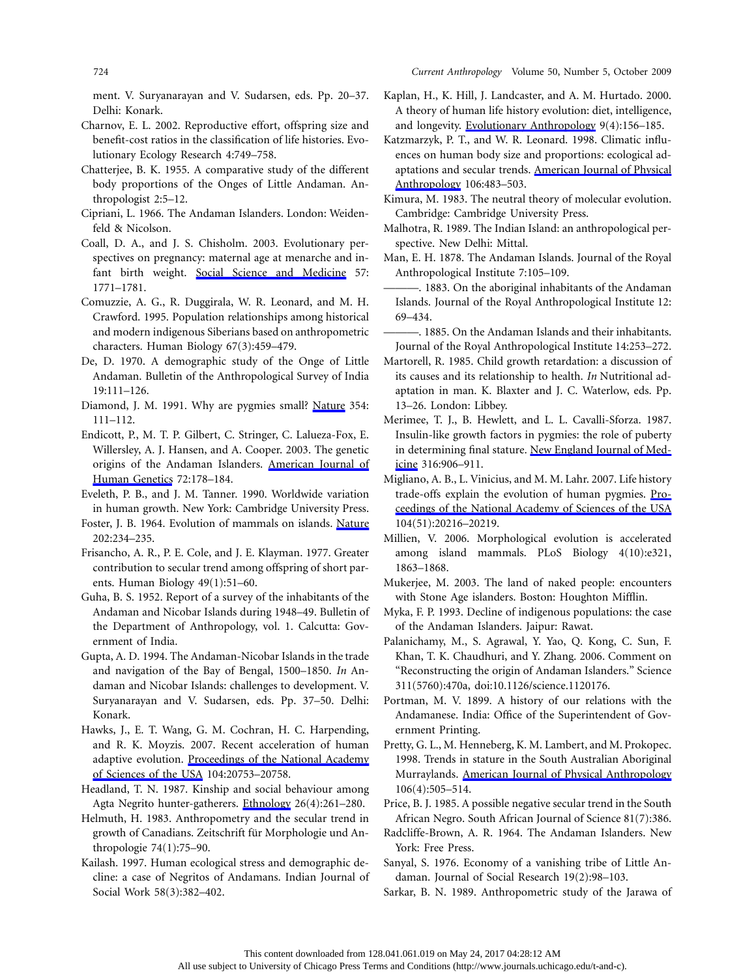ment. V. Suryanarayan and V. Sudarsen, eds. Pp. 20–37. Delhi: Konark.

- Charnov, E. L. 2002. Reproductive effort, offspring size and benefit-cost ratios in the classification of life histories. Evolutionary Ecology Research 4:749–758.
- Chatterjee, B. K. 1955. A comparative study of the different body proportions of the Onges of Little Andaman. Anthropologist 2:5–12.
- Cipriani, L. 1966. The Andaman Islanders. London: Weidenfeld & Nicolson.
- Coall, D. A., and J. S. Chisholm. 2003. Evolutionary perspectives on pregnancy: maternal age at menarche and infant birth weight. [Social Science and Medicine](http://www.journals.uchicago.edu/action/showLinks?crossref=10.1016%2FS0277-9536%2803%2900022-4) 57: 1771–1781.
- Comuzzie, A. G., R. Duggirala, W. R. Leonard, and M. H. Crawford. 1995. Population relationships among historical and modern indigenous Siberians based on anthropometric characters. Human Biology 67(3):459–479.
- De, D. 1970. A demographic study of the Onge of Little Andaman. Bulletin of the Anthropological Survey of India 19:111–126.
- Diamond, J. M. 1991. Why are pygmies small? [Nature](http://www.journals.uchicago.edu/action/showLinks?crossref=10.1038%2F354111a0) 354: 111–112.
- Endicott, P., M. T. P. Gilbert, C. Stringer, C. Lalueza-Fox, E. Willersley, A. J. Hansen, and A. Cooper. 2003. The genetic origins of the Andaman Islanders. [American Journal of](http://www.journals.uchicago.edu/action/showLinks?crossref=10.1086%2F345487) [Human Genetics](http://www.journals.uchicago.edu/action/showLinks?crossref=10.1086%2F345487) 72:178–184.
- Eveleth, P. B., and J. M. Tanner. 1990. Worldwide variation in human growth. New York: Cambridge University Press.
- Foster, J. B. 1964. Evolution of mammals on islands. [Nature](http://www.journals.uchicago.edu/action/showLinks?crossref=10.1038%2F202234a0) 202:234–235.
- Frisancho, A. R., P. E. Cole, and J. E. Klayman. 1977. Greater contribution to secular trend among offspring of short parents. Human Biology 49(1):51–60.
- Guha, B. S. 1952. Report of a survey of the inhabitants of the Andaman and Nicobar Islands during 1948–49. Bulletin of the Department of Anthropology, vol. 1. Calcutta: Government of India.
- Gupta, A. D. 1994. The Andaman-Nicobar Islands in the trade and navigation of the Bay of Bengal, 1500–1850. *In* Andaman and Nicobar Islands: challenges to development. V. Suryanarayan and V. Sudarsen, eds. Pp. 37–50. Delhi: Konark.
- Hawks, J., E. T. Wang, G. M. Cochran, H. C. Harpending, and R. K. Moyzis. 2007. Recent acceleration of human adaptive evolution. [Proceedings of the National Academy](http://www.journals.uchicago.edu/action/showLinks?crossref=10.1073%2Fpnas.0707650104) [of Sciences of the USA](http://www.journals.uchicago.edu/action/showLinks?crossref=10.1073%2Fpnas.0707650104) 104:20753–20758.
- Headland, T. N. 1987. Kinship and social behaviour among Agta Negrito hunter-gatherers. [Ethnology](http://www.journals.uchicago.edu/action/showLinks?crossref=10.2307%2F3773591) 26(4):261–280.
- Helmuth, H. 1983. Anthropometry and the secular trend in growth of Canadians. Zeitschrift für Morphologie und Anthropologie 74(1):75–90.
- Kailash. 1997. Human ecological stress and demographic decline: a case of Negritos of Andamans. Indian Journal of Social Work 58(3):382–402.
- Kaplan, H., K. Hill, J. Landcaster, and A. M. Hurtado. 2000. A theory of human life history evolution: diet, intelligence, and longevity. [Evolutionary Anthropology](http://www.journals.uchicago.edu/action/showLinks?crossref=10.1002%2F1520-6505%282000%299%3A4%3C156%3A%3AAID-EVAN5%3E3.0.CO%3B2-7) 9(4):156–185.
- Katzmarzyk, P. T., and W. R. Leonard. 1998. Climatic influences on human body size and proportions: ecological adaptations and secular trends. [American Journal of Physical](http://www.journals.uchicago.edu/action/showLinks?crossref=10.1002%2F%28SICI%291096-8644%28199808%29106%3A4%3C483%3A%3AAID-AJPA4%3E3.0.CO%3B2-K) [Anthropology](http://www.journals.uchicago.edu/action/showLinks?crossref=10.1002%2F%28SICI%291096-8644%28199808%29106%3A4%3C483%3A%3AAID-AJPA4%3E3.0.CO%3B2-K) 106:483–503.
- Kimura, M. 1983. The neutral theory of molecular evolution. Cambridge: Cambridge University Press.
- Malhotra, R. 1989. The Indian Island: an anthropological perspective. New Delhi: Mittal.
- Man, E. H. 1878. The Andaman Islands. Journal of the Royal Anthropological Institute 7:105–109.
- ———. 1883. On the aboriginal inhabitants of the Andaman Islands. Journal of the Royal Anthropological Institute 12: 69–434.
- -. 1885. On the Andaman Islands and their inhabitants. Journal of the Royal Anthropological Institute 14:253–272.
- Martorell, R. 1985. Child growth retardation: a discussion of its causes and its relationship to health. *In* Nutritional adaptation in man. K. Blaxter and J. C. Waterlow, eds. Pp. 13–26. London: Libbey.
- Merimee, T. J., B. Hewlett, and L. L. Cavalli-Sforza. 1987. Insulin-like growth factors in pygmies: the role of puberty in determining final stature. [New England Journal of Med](http://www.journals.uchicago.edu/action/showLinks?crossref=10.1056%2FNEJM198704093161503)[icine](http://www.journals.uchicago.edu/action/showLinks?crossref=10.1056%2FNEJM198704093161503) 316:906–911.
- Migliano, A. B., L. Vinicius, and M. M. Lahr. 2007. Life history trade-offs explain the evolution of human pygmies. [Pro](http://www.journals.uchicago.edu/action/showLinks?crossref=10.1073%2Fpnas.0708024105)[ceedings of the National Academy of Sciences of the USA](http://www.journals.uchicago.edu/action/showLinks?crossref=10.1073%2Fpnas.0708024105) 104(51):20216–20219.
- Millien, V. 2006. Morphological evolution is accelerated among island mammals. PLoS Biology 4(10):e321, 1863–1868.
- Mukerjee, M. 2003. The land of naked people: encounters with Stone Age islanders. Boston: Houghton Mifflin.
- Myka, F. P. 1993. Decline of indigenous populations: the case of the Andaman Islanders. Jaipur: Rawat.
- Palanichamy, M., S. Agrawal, Y. Yao, Q. Kong, C. Sun, F. Khan, T. K. Chaudhuri, and Y. Zhang. 2006. Comment on "Reconstructing the origin of Andaman Islanders." Science 311(5760):470a, doi:10.1126/science.1120176.
- Portman, M. V. 1899. A history of our relations with the Andamanese. India: Office of the Superintendent of Government Printing.
- Pretty, G. L., M. Henneberg, K. M. Lambert, and M. Prokopec. 1998. Trends in stature in the South Australian Aboriginal Murraylands. [American Journal of Physical Anthropology](http://www.journals.uchicago.edu/action/showLinks?crossref=10.1002%2F%28SICI%291096-8644%28199808%29106%3A4%3C505%3A%3AAID-AJPA5%3E3.0.CO%3B2-H) 106(4):505–514.
- Price, B. J. 1985. A possible negative secular trend in the South African Negro. South African Journal of Science 81(7):386.
- Radcliffe-Brown, A. R. 1964. The Andaman Islanders. New York: Free Press.
- Sanyal, S. 1976. Economy of a vanishing tribe of Little Andaman. Journal of Social Research 19(2):98–103.
- Sarkar, B. N. 1989. Anthropometric study of the Jarawa of